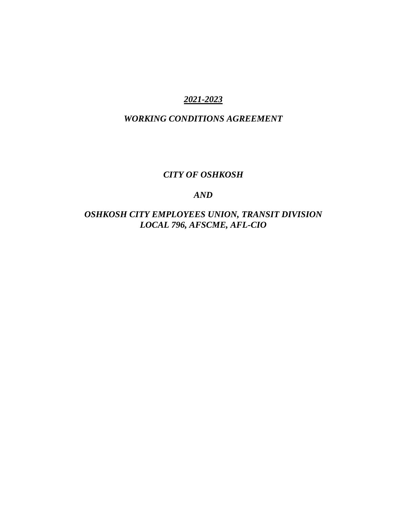### *2021-2023*

### *WORKING CONDITIONS AGREEMENT*

### *CITY OF OSHKOSH*

# *AND*

# *OSHKOSH CITY EMPLOYEES UNION, TRANSIT DIVISION LOCAL 796, AFSCME, AFL-CIO*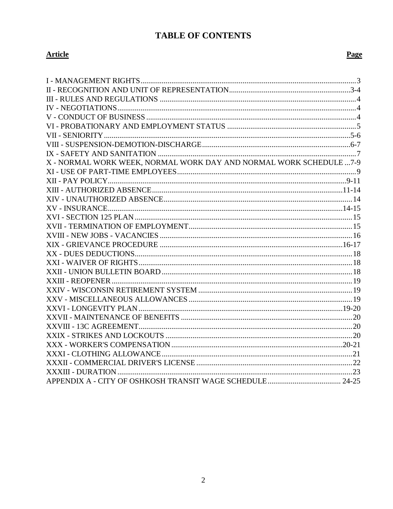# **TABLE OF CONTENTS**

# **Article**

| X - NORMAL WORK WEEK, NORMAL WORK DAY AND NORMAL WORK SCHEDULE  7-9 |  |
|---------------------------------------------------------------------|--|
|                                                                     |  |
|                                                                     |  |
|                                                                     |  |
|                                                                     |  |
|                                                                     |  |
|                                                                     |  |
|                                                                     |  |
|                                                                     |  |
|                                                                     |  |
|                                                                     |  |
|                                                                     |  |
|                                                                     |  |
|                                                                     |  |
|                                                                     |  |
|                                                                     |  |
|                                                                     |  |
|                                                                     |  |
|                                                                     |  |
|                                                                     |  |
|                                                                     |  |
|                                                                     |  |
|                                                                     |  |
|                                                                     |  |
|                                                                     |  |
|                                                                     |  |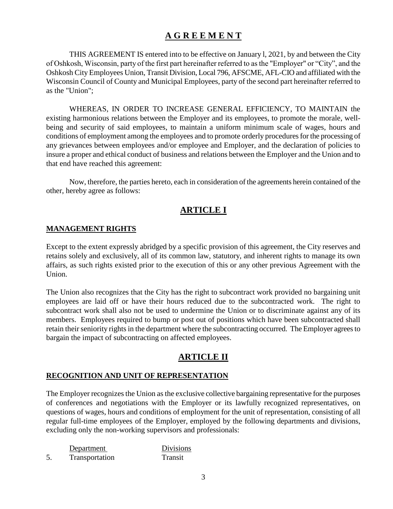### **A G R E E M E N T**

THIS AGREEMENT IS entered into to be effective on January l, 2021, by and between the City of Oshkosh, Wisconsin, party of the first part hereinafter referred to as the "Employer" or "City", and the Oshkosh City Employees Union, Transit Division, Local 796, AFSCME, AFL-CIO and affiliated with the Wisconsin Council of County and Municipal Employees, party of the second part hereinafter referred to as the "Union";

WHEREAS, IN ORDER TO INCREASE GENERAL EFFICIENCY, TO MAINTAIN the existing harmonious relations between the Employer and its employees, to promote the morale, wellbeing and security of said employees, to maintain a uniform minimum scale of wages, hours and conditions of employment among the employees and to promote orderly procedures for the processing of any grievances between employees and/or employee and Employer, and the declaration of policies to insure a proper and ethical conduct of business and relations between the Employer and the Union and to that end have reached this agreement:

Now, therefore, the parties hereto, each in consideration of the agreements herein contained of the other, hereby agree as follows:

### **ARTICLE I**

### <span id="page-2-0"></span>**MANAGEMENT RIGHTS**

Except to the extent expressly abridged by a specific provision of this agreement, the City reserves and retains solely and exclusively, all of its common law, statutory, and inherent rights to manage its own affairs, as such rights existed prior to the execution of this or any other previous Agreement with the Union.

The Union also recognizes that the City has the right to subcontract work provided no bargaining unit employees are laid off or have their hours reduced due to the subcontracted work. The right to subcontract work shall also not be used to undermine the Union or to discriminate against any of its members. Employees required to bump or post out of positions which have been subcontracted shall retain their seniority rights in the department where the subcontracting occurred. The Employer agrees to bargain the impact of subcontracting on affected employees.

# **ARTICLE II**

#### <span id="page-2-1"></span>**RECOGNITION AND UNIT OF REPRESENTATION**

The Employer recognizes the Union as the exclusive collective bargaining representative for the purposes of conferences and negotiations with the Employer or its lawfully recognized representatives, on questions of wages, hours and conditions of employment for the unit of representation, consisting of all regular full-time employees of the Employer, employed by the following departments and divisions, excluding only the non-working supervisors and professionals:

|    | Department     | <b>Divisions</b> |
|----|----------------|------------------|
| 5. | Transportation | Transit          |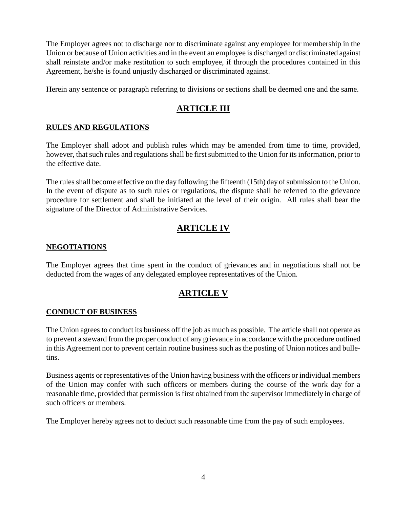The Employer agrees not to discharge nor to discriminate against any employee for membership in the Union or because of Union activities and in the event an employee is discharged or discriminated against shall reinstate and/or make restitution to such employee, if through the procedures contained in this Agreement, he/she is found unjustly discharged or discriminated against.

Herein any sentence or paragraph referring to divisions or sections shall be deemed one and the same.

# **ARTICLE III**

### <span id="page-3-0"></span>**RULES AND REGULATIONS**

The Employer shall adopt and publish rules which may be amended from time to time, provided, however, that such rules and regulations shall be first submitted to the Union for its information, prior to the effective date.

The rules shall become effective on the day following the fifteenth (15th) day of submission to the Union. In the event of dispute as to such rules or regulations, the dispute shall be referred to the grievance procedure for settlement and shall be initiated at the level of their origin. All rules shall bear the signature of the Director of Administrative Services.

# **ARTICLE IV**

### <span id="page-3-1"></span>**NEGOTIATIONS**

The Employer agrees that time spent in the conduct of grievances and in negotiations shall not be deducted from the wages of any delegated employee representatives of the Union.

# **ARTICLE V**

#### <span id="page-3-2"></span>**CONDUCT OF BUSINESS**

The Union agrees to conduct its business off the job as much as possible. The article shall not operate as to prevent a steward from the proper conduct of any grievance in accordance with the procedure outlined in this Agreement nor to prevent certain routine business such as the posting of Union notices and bulletins.

Business agents or representatives of the Union having business with the officers or individual members of the Union may confer with such officers or members during the course of the work day for a reasonable time, provided that permission is first obtained from the supervisor immediately in charge of such officers or members.

The Employer hereby agrees not to deduct such reasonable time from the pay of such employees.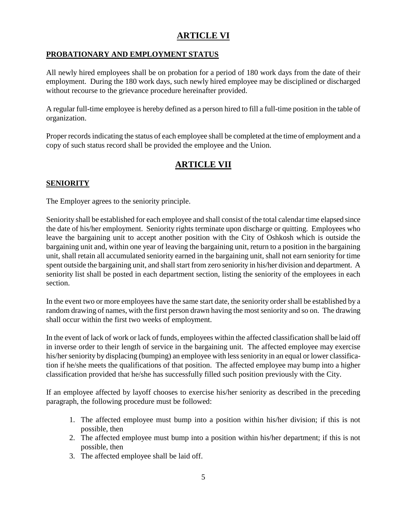# **ARTICLE VI**

### <span id="page-4-0"></span>**PROBATIONARY AND EMPLOYMENT STATUS**

All newly hired employees shall be on probation for a period of 180 work days from the date of their employment. During the 180 work days, such newly hired employee may be disciplined or discharged without recourse to the grievance procedure hereinafter provided.

A regular full-time employee is hereby defined as a person hired to fill a full-time position in the table of organization.

Proper records indicating the status of each employee shall be completed at the time of employment and a copy of such status record shall be provided the employee and the Union.

# **ARTICLE VII**

### **SENIORITY**

The Employer agrees to the seniority principle.

Seniority shall be established for each employee and shall consist of the total calendar time elapsed since the date of his/her employment. Seniority rights terminate upon discharge or quitting. Employees who leave the bargaining unit to accept another position with the City of Oshkosh which is outside the bargaining unit and, within one year of leaving the bargaining unit, return to a position in the bargaining unit, shall retain all accumulated seniority earned in the bargaining unit, shall not earn seniority for time spent outside the bargaining unit, and shall start from zero seniority in his/her division and department. A seniority list shall be posted in each department section, listing the seniority of the employees in each section.

In the event two or more employees have the same start date, the seniority order shall be established by a random drawing of names, with the first person drawn having the most seniority and so on. The drawing shall occur within the first two weeks of employment.

In the event of lack of work or lack of funds, employees within the affected classification shall be laid off in inverse order to their length of service in the bargaining unit. The affected employee may exercise his/her seniority by displacing (bumping) an employee with less seniority in an equal or lower classification if he/she meets the qualifications of that position. The affected employee may bump into a higher classification provided that he/she has successfully filled such position previously with the City.

If an employee affected by layoff chooses to exercise his/her seniority as described in the preceding paragraph, the following procedure must be followed:

- 1. The affected employee must bump into a position within his/her division; if this is not possible, then
- 2. The affected employee must bump into a position within his/her department; if this is not possible, then
- 3. The affected employee shall be laid off.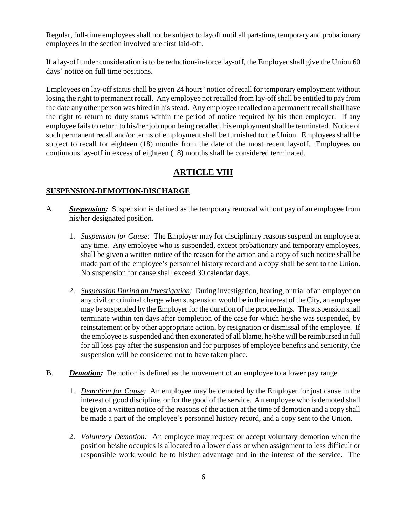Regular, full-time employees shall not be subject to layoff until all part-time, temporary and probationary employees in the section involved are first laid-off.

If a lay-off under consideration is to be reduction-in-force lay-off, the Employer shall give the Union 60 days' notice on full time positions.

Employees on lay-off status shall be given 24 hours' notice of recall for temporary employment without losing the right to permanent recall. Any employee not recalled from lay-off shall be entitled to pay from the date any other person was hired in his stead. Any employee recalled on a permanent recall shall have the right to return to duty status within the period of notice required by his then employer. If any employee fails to return to his/her job upon being recalled, his employment shall be terminated. Notice of such permanent recall and/or terms of employment shall be furnished to the Union. Employees shall be subject to recall for eighteen (18) months from the date of the most recent lay-off. Employees on continuous lay-off in excess of eighteen (18) months shall be considered terminated.

# **ARTICLE VIII**

### **SUSPENSION-DEMOTION-DISCHARGE**

- A. *Suspension:* Suspension is defined as the temporary removal without pay of an employee from his/her designated position.
	- 1. *Suspension for Cause:* The Employer may for disciplinary reasons suspend an employee at any time. Any employee who is suspended, except probationary and temporary employees, shall be given a written notice of the reason for the action and a copy of such notice shall be made part of the employee's personnel history record and a copy shall be sent to the Union. No suspension for cause shall exceed 30 calendar days.
	- 2. *Suspension During an Investigation:* During investigation, hearing, or trial of an employee on any civil or criminal charge when suspension would be in the interest of the City, an employee may be suspended by the Employer for the duration of the proceedings. The suspension shall terminate within ten days after completion of the case for which he/she was suspended, by reinstatement or by other appropriate action, by resignation or dismissal of the employee. If the employee is suspended and then exonerated of all blame, he/she will be reimbursed in full for all loss pay after the suspension and for purposes of employee benefits and seniority, the suspension will be considered not to have taken place.
- B. *Demotion:* Demotion is defined as the movement of an employee to a lower pay range.
	- 1. *Demotion for Cause:* An employee may be demoted by the Employer for just cause in the interest of good discipline, or for the good of the service. An employee who is demoted shall be given a written notice of the reasons of the action at the time of demotion and a copy shall be made a part of the employee's personnel history record, and a copy sent to the Union.
	- 2. *Voluntary Demotion:* An employee may request or accept voluntary demotion when the position he\she occupies is allocated to a lower class or when assignment to less difficult or responsible work would be to his\her advantage and in the interest of the service. The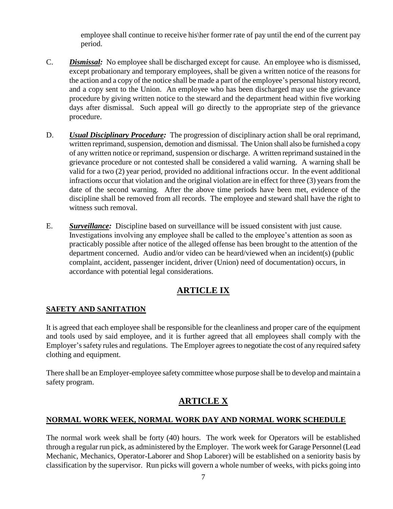employee shall continue to receive his\her former rate of pay until the end of the current pay period.

- C. *Dismissal:* No employee shall be discharged except for cause. An employee who is dismissed, except probationary and temporary employees, shall be given a written notice of the reasons for the action and a copy of the notice shall be made a part of the employee's personal history record, and a copy sent to the Union. An employee who has been discharged may use the grievance procedure by giving written notice to the steward and the department head within five working days after dismissal. Such appeal will go directly to the appropriate step of the grievance procedure.
- D. *Usual Disciplinary Procedure:* The progression of disciplinary action shall be oral reprimand, written reprimand, suspension, demotion and dismissal. The Union shall also be furnished a copy of any written notice or reprimand, suspension or discharge. A written reprimand sustained in the grievance procedure or not contested shall be considered a valid warning. A warning shall be valid for a two (2) year period, provided no additional infractions occur. In the event additional infractions occur that violation and the original violation are in effect for three (3) years from the date of the second warning. After the above time periods have been met, evidence of the discipline shall be removed from all records. The employee and steward shall have the right to witness such removal.
- E. *Surveillance:* Discipline based on surveillance will be issued consistent with just cause. Investigations involving any employee shall be called to the employee's attention as soon as practicably possible after notice of the alleged offense has been brought to the attention of the department concerned. Audio and/or video can be heard/viewed when an incident(s) (public complaint, accident, passenger incident, driver (Union) need of documentation) occurs, in accordance with potential legal considerations.

# **ARTICLE IX**

### <span id="page-6-0"></span>**SAFETY AND SANITATION**

It is agreed that each employee shall be responsible for the cleanliness and proper care of the equipment and tools used by said employee, and it is further agreed that all employees shall comply with the Employer's safety rules and regulations. The Employer agrees to negotiate the cost of any required safety clothing and equipment.

There shall be an Employer-employee safety committee whose purpose shall be to develop and maintain a safety program.

# **ARTICLE X**

### **NORMAL WORK WEEK, NORMAL WORK DAY AND NORMAL WORK SCHEDULE**

The normal work week shall be forty (40) hours. The work week for Operators will be established through a regular run pick, as administered by the Employer. The work week for Garage Personnel (Lead Mechanic, Mechanics, Operator-Laborer and Shop Laborer) will be established on a seniority basis by classification by the supervisor. Run picks will govern a whole number of weeks, with picks going into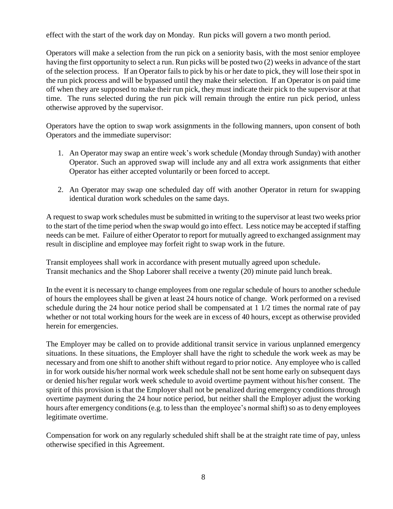effect with the start of the work day on Monday. Run picks will govern a two month period.

Operators will make a selection from the run pick on a seniority basis, with the most senior employee having the first opportunity to select a run. Run picks will be posted two (2) weeks in advance of the start of the selection process. If an Operator fails to pick by his or her date to pick, they will lose their spot in the run pick process and will be bypassed until they make their selection. If an Operator is on paid time off when they are supposed to make their run pick, they must indicate their pick to the supervisor at that time. The runs selected during the run pick will remain through the entire run pick period, unless otherwise approved by the supervisor.

Operators have the option to swap work assignments in the following manners, upon consent of both Operators and the immediate supervisor:

- 1. An Operator may swap an entire week's work schedule (Monday through Sunday) with another Operator. Such an approved swap will include any and all extra work assignments that either Operator has either accepted voluntarily or been forced to accept.
- 2. An Operator may swap one scheduled day off with another Operator in return for swapping identical duration work schedules on the same days.

A request to swap work schedules must be submitted in writing to the supervisor at least two weeks prior to the start of the time period when the swap would go into effect. Less notice may be accepted if staffing needs can be met. Failure of either Operator to report for mutually agreed to exchanged assignment may result in discipline and employee may forfeit right to swap work in the future.

Transit employees shall work in accordance with present mutually agreed upon schedule. Transit mechanics and the Shop Laborer shall receive a twenty (20) minute paid lunch break.

In the event it is necessary to change employees from one regular schedule of hours to another schedule of hours the employees shall be given at least 24 hours notice of change. Work performed on a revised schedule during the 24 hour notice period shall be compensated at 1 1/2 times the normal rate of pay whether or not total working hours for the week are in excess of 40 hours, except as otherwise provided herein for emergencies.

The Employer may be called on to provide additional transit service in various unplanned emergency situations. In these situations, the Employer shall have the right to schedule the work week as may be necessary and from one shift to another shift without regard to prior notice. Any employee who is called in for work outside his/her normal work week schedule shall not be sent home early on subsequent days or denied his/her regular work week schedule to avoid overtime payment without his/her consent. The spirit of this provision is that the Employer shall not be penalized during emergency conditions through overtime payment during the 24 hour notice period, but neither shall the Employer adjust the working hours after emergency conditions (e.g. to less than the employee's normal shift) so as to deny employees legitimate overtime.

Compensation for work on any regularly scheduled shift shall be at the straight rate time of pay, unless otherwise specified in this Agreement.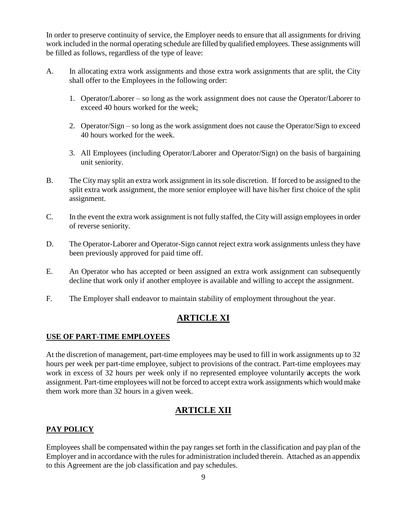In order to preserve continuity of service, the Employer needs to ensure that all assignments for driving work included in the normal operating schedule are filled by qualified employees. These assignments will be filled as follows, regardless of the type of leave:

- A. In allocating extra work assignments and those extra work assignments that are split, the City shall offer to the Employees in the following order:
	- 1. Operator/Laborer so long as the work assignment does not cause the Operator/Laborer to exceed 40 hours worked for the week;
	- 2. Operator/Sign so long as the work assignment does not cause the Operator/Sign to exceed 40 hours worked for the week.
	- 3. All Employees (including Operator/Laborer and Operator/Sign) on the basis of bargaining unit seniority.
- B. The City may split an extra work assignment in its sole discretion. If forced to be assigned to the split extra work assignment, the more senior employee will have his/her first choice of the split assignment.
- C. In the event the extra work assignment is not fully staffed, the City will assign employees in order of reverse seniority.
- D. The Operator-Laborer and Operator-Sign cannot reject extra work assignments unless they have been previously approved for paid time off.
- E. An Operator who has accepted or been assigned an extra work assignment can subsequently decline that work only if another employee is available and willing to accept the assignment.
- F. The Employer shall endeavor to maintain stability of employment throughout the year.

# **ARTICLE XI**

### **USE OF PART-TIME EMPLOYEES**

At the discretion of management, part-time employees may be used to fill in work assignments up to 32 hours per week per part-time employee, subject to provisions of the contract. Part-time employees may work in excess of 32 hours per week only if no represented employee voluntarily **a**ccepts the work assignment. Part-time employees will not be forced to accept extra work assignments which would make them work more than 32 hours in a given week.

# **ARTICLE XII**

### <span id="page-8-0"></span>**PAY POLICY**

Employees shall be compensated within the pay ranges set forth in the classification and pay plan of the Employer and in accordance with the rules for administration included therein. Attached as an appendix to this Agreement are the job classification and pay schedules.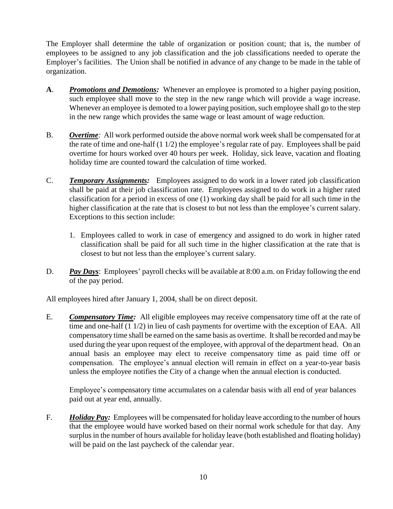The Employer shall determine the table of organization or position count; that is, the number of employees to be assigned to any job classification and the job classifications needed to operate the Employer's facilities. The Union shall be notified in advance of any change to be made in the table of organization.

- **A**. *Promotions and Demotions:* Whenever an employee is promoted to a higher paying position, such employee shall move to the step in the new range which will provide a wage increase. Whenever an employee is demoted to a lower paying position, such employee shall go to the step in the new range which provides the same wage or least amount of wage reduction.
- B. *Overtime:* All work performed outside the above normal work week shall be compensated for at the rate of time and one-half (1 1/2) the employee's regular rate of pay. Employees shall be paid overtime for hours worked over 40 hours per week. Holiday, sick leave, vacation and floating holiday time are counted toward the calculation of time worked.
- C. *Temporary Assignments:* Employees assigned to do work in a lower rated job classification shall be paid at their job classification rate. Employees assigned to do work in a higher rated classification for a period in excess of one (1) working day shall be paid for all such time in the higher classification at the rate that is closest to but not less than the employee's current salary. Exceptions to this section include:
	- 1. Employees called to work in case of emergency and assigned to do work in higher rated classification shall be paid for all such time in the higher classification at the rate that is closest to but not less than the employee's current salary.
- D. *Pay Days*: Employees' payroll checks will be available at 8:00 a.m. on Friday following the end of the pay period.

All employees hired after January 1, 2004, shall be on direct deposit.

E. *Compensatory Time:* All eligible employees may receive compensatory time off at the rate of time and one-half (1 1/2) in lieu of cash payments for overtime with the exception of EAA. All compensatory time shall be earned on the same basis as overtime. It shall be recorded and may be used during the year upon request of the employee, with approval of the department head. On an annual basis an employee may elect to receive compensatory time as paid time off or compensation. The employee's annual election will remain in effect on a year-to-year basis unless the employee notifies the City of a change when the annual election is conducted.

Employee's compensatory time accumulates on a calendar basis with all end of year balances paid out at year end, annually.

F. *Holiday Pay:* Employees will be compensated for holiday leave according to the number of hours that the employee would have worked based on their normal work schedule for that day. Any surplus in the number of hours available for holiday leave (both established and floating holiday) will be paid on the last paycheck of the calendar year.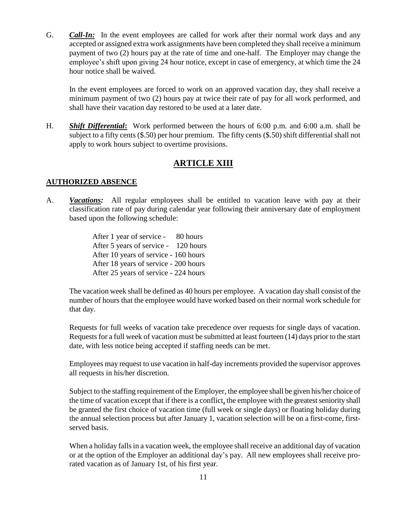G. **Call-In:** In the event employees are called for work after their normal work days and any accepted or assigned extra work assignments have been completed they shall receive a minimum payment of two (2) hours pay at the rate of time and one-half. The Employer may change the employee's shift upon giving 24 hour notice, except in case of emergency, at which time the 24 hour notice shall be waived.

In the event employees are forced to work on an approved vacation day, they shall receive a minimum payment of two (2) hours pay at twice their rate of pay for all work performed, and shall have their vacation day restored to be used at a later date.

H. *Shift Differential***:** Work performed between the hours of 6:00 p.m. and 6:00 a.m. shall be subject to a fifty cents (\$.50) per hour premium. The fifty cents (\$.50) shift differential shall not apply to work hours subject to overtime provisions.

### **ARTICLE XIII**

### **AUTHORIZED ABSENCE**

A. *Vacations:* All regular employees shall be entitled to vacation leave with pay at their classification rate of pay during calendar year following their anniversary date of employment based upon the following schedule:

> After 1 year of service - 80 hours After 5 years of service - 120 hours After 10 years of service - 160 hours After 18 years of service - 200 hours After 25 years of service - 224 hours

The vacation week shall be defined as 40 hours per employee. A vacation day shall consist of the number of hours that the employee would have worked based on their normal work schedule for that day.

Requests for full weeks of vacation take precedence over requests for single days of vacation. Requests for a full week of vacation must be submitted at least fourteen (14) days prior to the start date, with less notice being accepted if staffing needs can be met.

Employees may request to use vacation in half-day increments provided the supervisor approves all requests in his/her discretion.

Subject to the staffing requirement of the Employer, the employee shall be given his/her choice of the time of vacation except that if there is a conflict, the employee with the greatest seniority shall be granted the first choice of vacation time (full week or single days) or floating holiday during the annual selection process but after January 1, vacation selection will be on a first-come, firstserved basis.

When a holiday falls in a vacation week, the employee shall receive an additional day of vacation or at the option of the Employer an additional day's pay. All new employees shall receive prorated vacation as of January 1st, of his first year.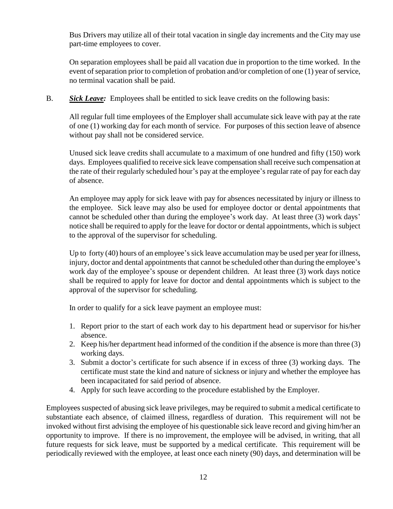Bus Drivers may utilize all of their total vacation in single day increments and the City may use part-time employees to cover.

On separation employees shall be paid all vacation due in proportion to the time worked. In the event of separation prior to completion of probation and/or completion of one (1) year of service, no terminal vacation shall be paid.

B. *Sick Leave:* Employees shall be entitled to sick leave credits on the following basis:

All regular full time employees of the Employer shall accumulate sick leave with pay at the rate of one (1) working day for each month of service. For purposes of this section leave of absence without pay shall not be considered service.

Unused sick leave credits shall accumulate to a maximum of one hundred and fifty (150) work days. Employees qualified to receive sick leave compensation shall receive such compensation at the rate of their regularly scheduled hour's pay at the employee's regular rate of pay for each day of absence.

An employee may apply for sick leave with pay for absences necessitated by injury or illness to the employee. Sick leave may also be used for employee doctor or dental appointments that cannot be scheduled other than during the employee's work day. At least three (3) work days' notice shall be required to apply for the leave for doctor or dental appointments, which is subject to the approval of the supervisor for scheduling.

Up to forty (40) hours of an employee's sick leave accumulation may be used per year for illness, injury, doctor and dental appointments that cannot be scheduled other than during the employee's work day of the employee's spouse or dependent children. At least three (3) work days notice shall be required to apply for leave for doctor and dental appointments which is subject to the approval of the supervisor for scheduling.

In order to qualify for a sick leave payment an employee must:

- 1. Report prior to the start of each work day to his department head or supervisor for his/her absence.
- 2. Keep his/her department head informed of the condition if the absence is more than three (3) working days.
- 3. Submit a doctor's certificate for such absence if in excess of three (3) working days. The certificate must state the kind and nature of sickness or injury and whether the employee has been incapacitated for said period of absence.
- 4. Apply for such leave according to the procedure established by the Employer.

Employees suspected of abusing sick leave privileges, may be required to submit a medical certificate to substantiate each absence, of claimed illness, regardless of duration. This requirement will not be invoked without first advising the employee of his questionable sick leave record and giving him/her an opportunity to improve. If there is no improvement, the employee will be advised, in writing, that all future requests for sick leave, must be supported by a medical certificate. This requirement will be periodically reviewed with the employee, at least once each ninety (90) days, and determination will be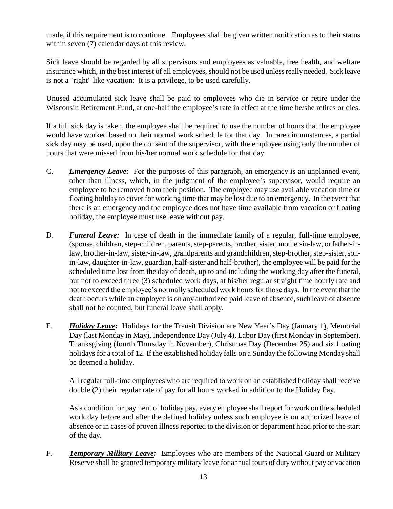made, if this requirement is to continue. Employees shall be given written notification as to their status within seven (7) calendar days of this review.

Sick leave should be regarded by all supervisors and employees as valuable, free health, and welfare insurance which, in the best interest of all employees, should not be used unless really needed. Sick leave is not a "right" like vacation: It is a privilege, to be used carefully.

Unused accumulated sick leave shall be paid to employees who die in service or retire under the Wisconsin Retirement Fund, at one-half the employee's rate in effect at the time he/she retires or dies.

If a full sick day is taken, the employee shall be required to use the number of hours that the employee would have worked based on their normal work schedule for that day. In rare circumstances, a partial sick day may be used, upon the consent of the supervisor, with the employee using only the number of hours that were missed from his/her normal work schedule for that day.

- C. *Emergency Leave:* For the purposes of this paragraph, an emergency is an unplanned event, other than illness, which, in the judgment of the employee's supervisor, would require an employee to be removed from their position. The employee may use available vacation time or floating holiday to cover for working time that may be lost due to an emergency. In the event that there is an emergency and the employee does not have time available from vacation or floating holiday, the employee must use leave without pay.
- D. *Funeral Leave:* In case of death in the immediate family of a regular, full-time employee, (spouse, children, step-children, parents, step-parents, brother, sister, mother-in-law, or father-inlaw, brother-in-law, sister-in-law, grandparents and grandchildren, step-brother, step-sister, sonin-law, daughter-in-law, guardian, half-sister and half-brother), the employee will be paid for the scheduled time lost from the day of death, up to and including the working day after the funeral, but not to exceed three (3) scheduled work days, at his/her regular straight time hourly rate and not to exceed the employee's normally scheduled work hours for those days. In the event that the death occurs while an employee is on any authorized paid leave of absence, such leave of absence shall not be counted, but funeral leave shall apply.
- E. *Holiday Leave:* Holidays for the Transit Division are New Year's Day (January 1), Memorial Day (last Monday in May), Independence Day (July 4), Labor Day (first Monday in September), Thanksgiving (fourth Thursday in November), Christmas Day (December 25) and six floating holidays for a total of 12. If the established holiday falls on a Sunday the following Monday shall be deemed a holiday.

All regular full-time employees who are required to work on an established holiday shall receive double (2) their regular rate of pay for all hours worked in addition to the Holiday Pay.

As a condition for payment of holiday pay, every employee shall report for work on the scheduled work day before and after the defined holiday unless such employee is on authorized leave of absence or in cases of proven illness reported to the division or department head prior to the start of the day.

F. *Temporary Military Leave:* Employees who are members of the National Guard or Military Reserve shall be granted temporary military leave for annual tours of duty without pay or vacation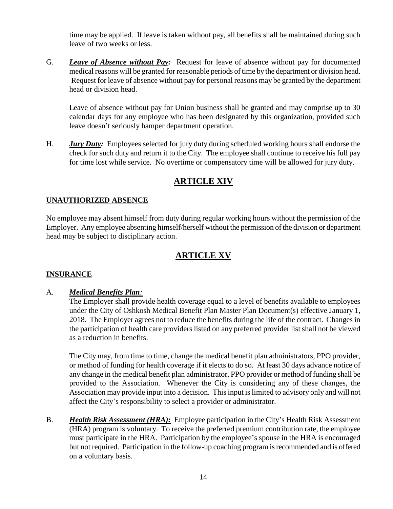time may be applied. If leave is taken without pay, all benefits shall be maintained during such leave of two weeks or less.

G. *Leave of Absence without Pay:* Request for leave of absence without pay for documented medical reasons will be granted for reasonable periods of time by the department or division head. Request for leave of absence without pay for personal reasons may be granted by the department head or division head.

Leave of absence without pay for Union business shall be granted and may comprise up to 30 calendar days for any employee who has been designated by this organization, provided such leave doesn't seriously hamper department operation.

H. *Jury Duty:* Employees selected for jury duty during scheduled working hours shall endorse the check for such duty and return it to the City. The employee shall continue to receive his full pay for time lost while service. No overtime or compensatory time will be allowed for jury duty.

# **ARTICLE XIV**

### <span id="page-13-0"></span>**UNAUTHORIZED ABSENCE**

No employee may absent himself from duty during regular working hours without the permission of the Employer. Any employee absenting himself/herself without the permission of the division or department head may be subject to disciplinary action.

# **ARTICLE XV**

### **INSURANCE**

#### A. *Medical Benefits Plan:*

The Employer shall provide health coverage equal to a level of benefits available to employees under the City of Oshkosh Medical Benefit Plan Master Plan Document(s) effective January 1, 2018. The Employer agrees not to reduce the benefits during the life of the contract. Changes in the participation of health care providers listed on any preferred provider list shall not be viewed as a reduction in benefits.

The City may, from time to time, change the medical benefit plan administrators, PPO provider, or method of funding for health coverage if it elects to do so. At least 30 days advance notice of any change in the medical benefit plan administrator, PPO provider or method of funding shall be provided to the Association. Whenever the City is considering any of these changes, the Association may provide input into a decision. This input is limited to advisory only and will not affect the City's responsibility to select a provider or administrator.

B. *Health Risk Assessment (HRA):* Employee participation in the City's Health Risk Assessment (HRA) program is voluntary. To receive the preferred premium contribution rate, the employee must participate in the HRA. Participation by the employee's spouse in the HRA is encouraged but not required. Participation in the follow-up coaching program is recommended and is offered on a voluntary basis.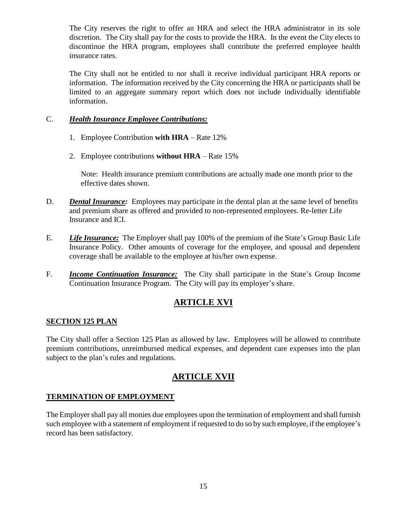The City reserves the right to offer an HRA and select the HRA administrator in its sole discretion. The City shall pay for the costs to provide the HRA. In the event the City elects to discontinue the HRA program, employees shall contribute the preferred employee health insurance rates.

The City shall not be entitled to nor shall it receive individual participant HRA reports or information. The information received by the City concerning the HRA or participants shall be limited to an aggregate summary report which does not include individually identifiable information.

#### C. *Health Insurance Employee Contributions:*

- 1. Employee Contribution **with HRA** Rate 12%
- 2. Employee contributions **without HRA** Rate 15%

Note: Health insurance premium contributions are actually made one month prior to the effective dates shown.

- D. *Dental Insurance:* Employees may participate in the dental plan at the same level of benefits and premium share as offered and provided to non-represented employees. Re-letter Life Insurance and ICI.
- E. *Life Insurance:* The Employer shall pay 100% of the premium of the State's Group Basic Life Insurance Policy. Other amounts of coverage for the employee, and spousal and dependent coverage shall be available to the employee at his/her own expense.
- F. *Income Continuation Insurance:* The City shall participate in the State's Group Income Continuation Insurance Program. The City will pay its employer's share.

# **ARTICLE XVI**

### <span id="page-14-0"></span>**SECTION 125 PLAN**

The City shall offer a Section 125 Plan as allowed by law. Employees will be allowed to contribute premium contributions, unreimbursed medical expenses, and dependent care expenses into the plan subject to the plan's rules and regulations.

# **ARTICLE XVII**

### **TERMINATION OF EMPLOYMENT**

The Employer shall pay all monies due employees upon the termination of employment and shall furnish such employee with a statement of employment if requested to do so by such employee, if the employee's record has been satisfactory.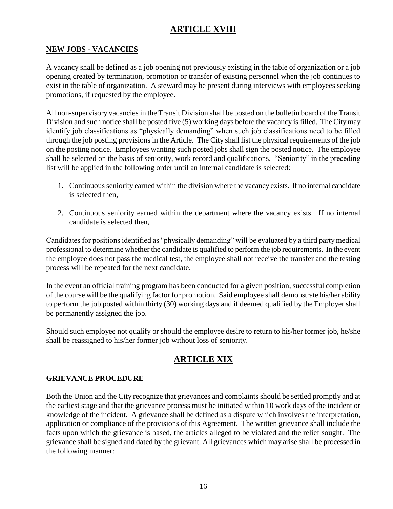# **ARTICLE XVIII**

### <span id="page-15-0"></span>**NEW JOBS - VACANCIES**

A vacancy shall be defined as a job opening not previously existing in the table of organization or a job opening created by termination, promotion or transfer of existing personnel when the job continues to exist in the table of organization. A steward may be present during interviews with employees seeking promotions, if requested by the employee.

All non-supervisory vacancies in the Transit Division shall be posted on the bulletin board of the Transit Division and such notice shall be posted five (5) working days before the vacancy is filled. The City may identify job classifications as "physically demanding" when such job classifications need to be filled through the job posting provisions in the Article. The City shall list the physical requirements of the job on the posting notice. Employees wanting such posted jobs shall sign the posted notice. The employee shall be selected on the basis of seniority, work record and qualifications. "Seniority" in the preceding list will be applied in the following order until an internal candidate is selected:

- 1. Continuous seniority earned within the division where the vacancy exists. If no internal candidate is selected then,
- 2. Continuous seniority earned within the department where the vacancy exists. If no internal candidate is selected then,

Candidates for positions identified as "physically demanding" will be evaluated by a third party medical professional to determine whether the candidate is qualified to perform the job requirements. In the event the employee does not pass the medical test, the employee shall not receive the transfer and the testing process will be repeated for the next candidate.

In the event an official training program has been conducted for a given position, successful completion of the course will be the qualifying factor for promotion. Said employee shall demonstrate his/her ability to perform the job posted within thirty (30) working days and if deemed qualified by the Employer shall be permanently assigned the job.

Should such employee not qualify or should the employee desire to return to his/her former job, he/she shall be reassigned to his/her former job without loss of seniority.

# **ARTICLE XIX**

#### **GRIEVANCE PROCEDURE**

Both the Union and the City recognize that grievances and complaints should be settled promptly and at the earliest stage and that the grievance process must be initiated within 10 work days of the incident or knowledge of the incident. A grievance shall be defined as a dispute which involves the interpretation, application or compliance of the provisions of this Agreement. The written grievance shall include the facts upon which the grievance is based, the articles alleged to be violated and the relief sought. The grievance shall be signed and dated by the grievant. All grievances which may arise shall be processed in the following manner: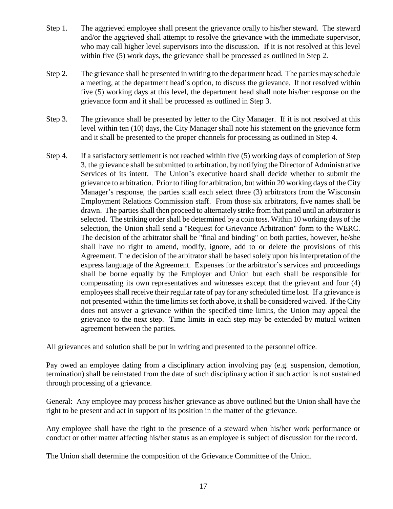- Step 1. The aggrieved employee shall present the grievance orally to his/her steward. The steward and/or the aggrieved shall attempt to resolve the grievance with the immediate supervisor, who may call higher level supervisors into the discussion. If it is not resolved at this level within five (5) work days, the grievance shall be processed as outlined in Step 2.
- Step 2. The grievance shall be presented in writing to the department head. The parties may schedule a meeting, at the department head's option, to discuss the grievance. If not resolved within five (5) working days at this level, the department head shall note his/her response on the grievance form and it shall be processed as outlined in Step 3.
- Step 3. The grievance shall be presented by letter to the City Manager. If it is not resolved at this level within ten (10) days, the City Manager shall note his statement on the grievance form and it shall be presented to the proper channels for processing as outlined in Step 4.
- Step 4. If a satisfactory settlement is not reached within five (5) working days of completion of Step 3, the grievance shall be submitted to arbitration, by notifying the Director of Administrative Services of its intent. The Union's executive board shall decide whether to submit the grievance to arbitration. Prior to filing for arbitration, but within 20 working days of the City Manager's response, the parties shall each select three (3) arbitrators from the Wisconsin Employment Relations Commission staff. From those six arbitrators, five names shall be drawn. The parties shall then proceed to alternately strike from that panel until an arbitrator is selected. The striking order shall be determined by a coin toss. Within 10 working days of the selection, the Union shall send a "Request for Grievance Arbitration" form to the WERC. The decision of the arbitrator shall be "final and binding" on both parties, however, he/she shall have no right to amend, modify, ignore, add to or delete the provisions of this Agreement. The decision of the arbitrator shall be based solely upon his interpretation of the express language of the Agreement. Expenses for the arbitrator's services and proceedings shall be borne equally by the Employer and Union but each shall be responsible for compensating its own representatives and witnesses except that the grievant and four (4) employees shall receive their regular rate of pay for any scheduled time lost. If a grievance is not presented within the time limits set forth above, it shall be considered waived. If the City does not answer a grievance within the specified time limits, the Union may appeal the grievance to the next step. Time limits in each step may be extended by mutual written agreement between the parties.

All grievances and solution shall be put in writing and presented to the personnel office.

Pay owed an employee dating from a disciplinary action involving pay (e.g. suspension, demotion, termination) shall be reinstated from the date of such disciplinary action if such action is not sustained through processing of a grievance.

General: Any employee may process his/her grievance as above outlined but the Union shall have the right to be present and act in support of its position in the matter of the grievance.

Any employee shall have the right to the presence of a steward when his/her work performance or conduct or other matter affecting his/her status as an employee is subject of discussion for the record.

The Union shall determine the composition of the Grievance Committee of the Union.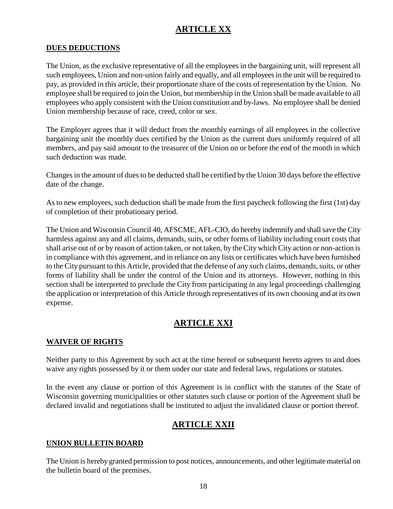# **ARTICLE XX**

#### <span id="page-17-0"></span>**DUES DEDUCTIONS**

The Union, as the exclusive representative of all the employees in the bargaining unit, will represent all such employees, Union and non-union fairly and equally, and all employees in the unit will be required to pay, as provided in this article, their proportionate share of the costs of representation by the Union. No employee shall be required to join the Union, but membership in the Union shall be made available to all employees who apply consistent with the Union constitution and by-laws. No employee shall be denied Union membership because of race, creed, color or sex.

The Employer agrees that it will deduct from the monthly earnings of all employees in the collective bargaining unit the monthly dues certified by the Union as the current dues uniformly required of all members, and pay said amount to the treasurer of the Union on or before the end of the month in which such deduction was made.

Changes in the amount of dues to be deducted shall be certified by the Union 30 days before the effective date of the change.

As to new employees, such deduction shall be made from the first paycheck following the first (1st) day of completion of their probationary period.

The Union and Wisconsin Council 40, AFSCME, AFL-CIO, do hereby indemnify and shall save the City harmless against any and all claims, demands, suits, or other forms of liability including court costs that shall arise out of or by reason of action taken, or not taken, by the City which City action or non-action is in compliance with this agreement, and in reliance on any lists or certificates which have been furnished to the City pursuant to this Article, provided that the defense of any such claims, demands, suits, or other forms of liability shall be under the control of the Union and its attorneys. However, nothing in this section shall be interpreted to preclude the City from participating in any legal proceedings challenging the application or interpretation of this Article through representatives of its own choosing and at its own expense.

# **ARTICLE XXI**

### <span id="page-17-1"></span>**WAIVER OF RIGHTS**

Neither party to this Agreement by such act at the time hereof or subsequent hereto agrees to and does waive any rights possessed by it or them under our state and federal laws, regulations or statutes.

In the event any clause or portion of this Agreement is in conflict with the statutes of the State of Wisconsin governing municipalities or other statutes such clause or portion of the Agreement shall be declared invalid and negotiations shall be instituted to adjust the invalidated clause or portion thereof.

### **ARTICLE XXII**

#### <span id="page-17-2"></span>**UNION BULLETIN BOARD**

The Union is hereby granted permission to post notices, announcements, and other legitimate material on the bulletin board of the premises.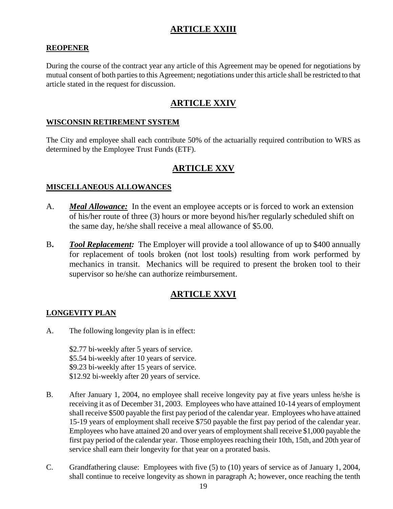# **ARTICLE XXIII**

### <span id="page-18-0"></span>**REOPENER**

During the course of the contract year any article of this Agreement may be opened for negotiations by mutual consent of both parties to this Agreement; negotiations under this article shall be restricted to that article stated in the request for discussion.

# **ARTICLE XXIV**

### <span id="page-18-1"></span>**WISCONSIN RETIREMENT SYSTEM**

The City and employee shall each contribute 50% of the actuarially required contribution to WRS as determined by the Employee Trust Funds (ETF).

### **ARTICLE XXV**

### <span id="page-18-2"></span>**MISCELLANEOUS ALLOWANCES**

- A. *Meal Allowance:* In the event an employee accepts or is forced to work an extension of his/her route of three (3) hours or more beyond his/her regularly scheduled shift on the same day, he/she shall receive a meal allowance of \$5.00.
- B**.** *Tool Replacement:* The Employer will provide a tool allowance of up to \$400 annually for replacement of tools broken (not lost tools) resulting from work performed by mechanics in transit. Mechanics will be required to present the broken tool to their supervisor so he/she can authorize reimbursement.

# **ARTICLE XXVI**

#### <span id="page-18-3"></span>**LONGEVITY PLAN**

A. The following longevity plan is in effect:

\$2.77 bi-weekly after 5 years of service. \$5.54 bi-weekly after 10 years of service. \$9.23 bi-weekly after 15 years of service. \$12.92 bi-weekly after 20 years of service.

- B. After January 1, 2004, no employee shall receive longevity pay at five years unless he/she is receiving it as of December 31, 2003. Employees who have attained 10-14 years of employment shall receive \$500 payable the first pay period of the calendar year. Employees who have attained 15-19 years of employment shall receive \$750 payable the first pay period of the calendar year. Employees who have attained 20 and over years of employment shall receive \$1,000 payable the first pay period of the calendar year. Those employees reaching their 10th, 15th, and 20th year of service shall earn their longevity for that year on a prorated basis.
- C. Grandfathering clause: Employees with five (5) to (10) years of service as of January 1, 2004, shall continue to receive longevity as shown in paragraph A; however, once reaching the tenth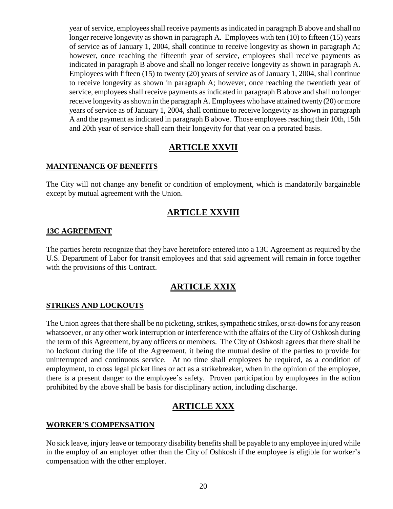year of service, employees shall receive payments as indicated in paragraph B above and shall no longer receive longevity as shown in paragraph A. Employees with ten (10) to fifteen (15) years of service as of January 1, 2004, shall continue to receive longevity as shown in paragraph A; however, once reaching the fifteenth year of service, employees shall receive payments as indicated in paragraph B above and shall no longer receive longevity as shown in paragraph A. Employees with fifteen (15) to twenty (20) years of service as of January 1, 2004, shall continue to receive longevity as shown in paragraph A; however, once reaching the twentieth year of service, employees shall receive payments as indicated in paragraph B above and shall no longer receive longevity as shown in the paragraph A. Employees who have attained twenty (20) or more years of service as of January 1, 2004, shall continue to receive longevity as shown in paragraph A and the payment as indicated in paragraph B above. Those employees reaching their 10th, 15th and 20th year of service shall earn their longevity for that year on a prorated basis.

### **ARTICLE XXVII**

#### <span id="page-19-0"></span>**MAINTENANCE OF BENEFITS**

The City will not change any benefit or condition of employment, which is mandatorily bargainable except by mutual agreement with the Union.

### **ARTICLE XXVIII**

#### <span id="page-19-1"></span>**13C AGREEMENT**

The parties hereto recognize that they have heretofore entered into a 13C Agreement as required by the U.S. Department of Labor for transit employees and that said agreement will remain in force together with the provisions of this Contract.

### **ARTICLE XXIX**

#### <span id="page-19-2"></span>**STRIKES AND LOCKOUTS**

The Union agrees that there shall be no picketing, strikes, sympathetic strikes, or sit-downs for any reason whatsoever, or any other work interruption or interference with the affairs of the City of Oshkosh during the term of this Agreement, by any officers or members. The City of Oshkosh agrees that there shall be no lockout during the life of the Agreement, it being the mutual desire of the parties to provide for uninterrupted and continuous service. At no time shall employees be required, as a condition of employment, to cross legal picket lines or act as a strikebreaker, when in the opinion of the employee, there is a present danger to the employee's safety. Proven participation by employees in the action prohibited by the above shall be basis for disciplinary action, including discharge.

# **ARTICLE XXX**

#### **WORKER'S COMPENSATION**

No sick leave, injury leave or temporary disability benefits shall be payable to any employee injured while in the employ of an employer other than the City of Oshkosh if the employee is eligible for worker's compensation with the other employer.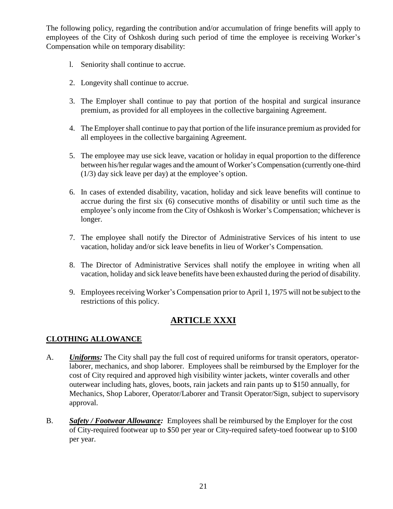The following policy, regarding the contribution and/or accumulation of fringe benefits will apply to employees of the City of Oshkosh during such period of time the employee is receiving Worker's Compensation while on temporary disability:

- l. Seniority shall continue to accrue.
- 2. Longevity shall continue to accrue.
- 3. The Employer shall continue to pay that portion of the hospital and surgical insurance premium, as provided for all employees in the collective bargaining Agreement.
- 4. The Employer shall continue to pay that portion of the life insurance premium as provided for all employees in the collective bargaining Agreement.
- 5. The employee may use sick leave, vacation or holiday in equal proportion to the difference between his/her regular wages and the amount of Worker's Compensation (currently one-third (1/3) day sick leave per day) at the employee's option.
- 6. In cases of extended disability, vacation, holiday and sick leave benefits will continue to accrue during the first six (6) consecutive months of disability or until such time as the employee's only income from the City of Oshkosh is Worker's Compensation; whichever is longer.
- 7. The employee shall notify the Director of Administrative Services of his intent to use vacation, holiday and/or sick leave benefits in lieu of Worker's Compensation.
- 8. The Director of Administrative Services shall notify the employee in writing when all vacation, holiday and sick leave benefits have been exhausted during the period of disability.
- 9. Employees receiving Worker's Compensation prior to April 1, 1975 will not be subject to the restrictions of this policy.

# **ARTICLE XXXI**

### **CLOTHING ALLOWANCE**

- A. *Uniforms:* The City shall pay the full cost of required uniforms for transit operators, operatorlaborer, mechanics, and shop laborer. Employees shall be reimbursed by the Employer for the cost of City required and approved high visibility winter jackets, winter coveralls and other outerwear including hats, gloves, boots, rain jackets and rain pants up to \$150 annually, for Mechanics, Shop Laborer, Operator/Laborer and Transit Operator/Sign, subject to supervisory approval.
- B. *Safety / Footwear Allowance:* Employees shall be reimbursed by the Employer for the cost of City-required footwear up to \$50 per year or City-required safety-toed footwear up to \$100 per year.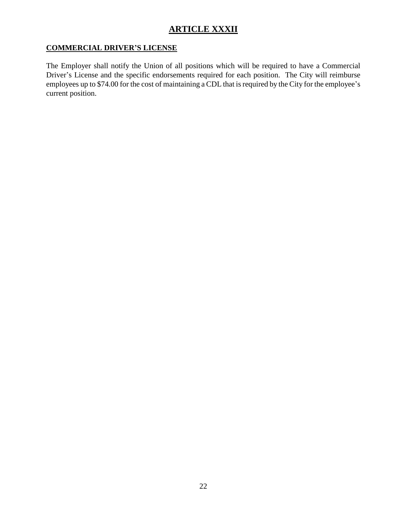# **ARTICLE XXXII**

### **COMMERCIAL DRIVER'S LICENSE**

The Employer shall notify the Union of all positions which will be required to have a Commercial Driver's License and the specific endorsements required for each position. The City will reimburse employees up to \$74.00 for the cost of maintaining a CDL that is required by the City for the employee's current position.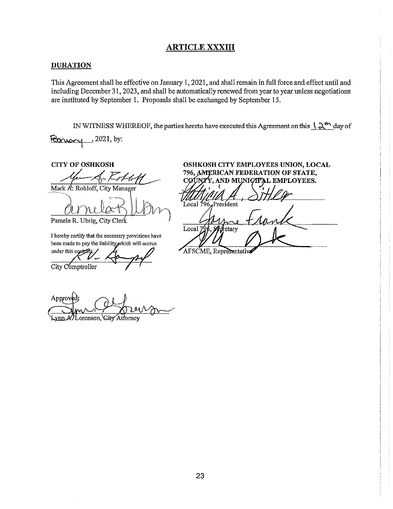### **ARTICLE XXXIII**

#### **DURATION**

This Agreement shall be effective on January 1, 2021, and shall remain in full force and effect until and including December 31, 2023, and shall be automatically renewed from year to year unless negotiations are instituted by September 1. Proposals shall be exchanged by September 15.

IN WITNESS WHEREOF, the parties hereto have executed this Agreement on this  $\frac{1}{2}$ <sup>th</sup> day of  $F$ 

**CITY OF OSHKOSH** 

Mark A Manager

Pamela R. Ubrig, City Clerk

I hereby certify that the necessary provisions have been made to pay the liability, which will accrue

under this contrat City Comptroller

OSHKOSH CITY EMPLOYEES UNION, LOCAL 796, AMERICAN FEDERATION OF STATE, AND MUNICIPAL EMPLOYEES. COUNZ

Local 796, President

Local fetary

AFSCME, Representativ

Approv ynn AlLorenson, City Attorney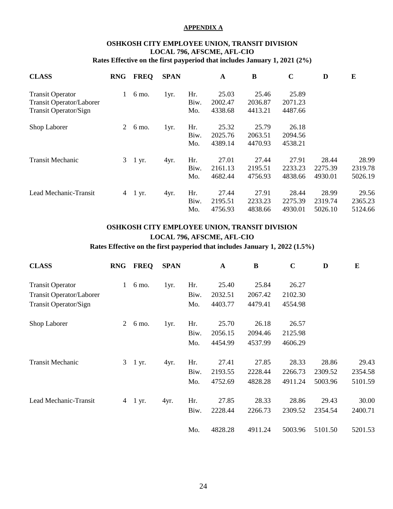#### **APPENDIX A**

# **OSHKOSH CITY EMPLOYEE UNION, TRANSIT DIVISION LOCAL 796, AFSCME, AFL-CIO**

**Rates Effective on the first payperiod that includes January 1, 2021 (2%)**

| <b>CLASS</b>                    | <b>RNG</b>   | <b>FREQ</b> | <b>SPAN</b> |      | A       | B       | $\mathbf C$ | D       | E       |
|---------------------------------|--------------|-------------|-------------|------|---------|---------|-------------|---------|---------|
| <b>Transit Operator</b>         | $\mathbf{1}$ | 6 mo.       | 1yr.        | Hr.  | 25.03   | 25.46   | 25.89       |         |         |
| <b>Transit Operator/Laborer</b> |              |             |             | Biw. | 2002.47 | 2036.87 | 2071.23     |         |         |
| <b>Transit Operator/Sign</b>    |              |             |             | Mo.  | 4338.68 | 4413.21 | 4487.66     |         |         |
| Shop Laborer                    | 2            | 6 mo.       | 1yr.        | Hr.  | 25.32   | 25.79   | 26.18       |         |         |
|                                 |              |             |             | Biw. | 2025.76 | 2063.51 | 2094.56     |         |         |
|                                 |              |             |             | Mo.  | 4389.14 | 4470.93 | 4538.21     |         |         |
| <b>Transit Mechanic</b>         |              | 3 1 yr.     | 4yr.        | Hr.  | 27.01   | 27.44   | 27.91       | 28.44   | 28.99   |
|                                 |              |             |             | Biw. | 2161.13 | 2195.51 | 2233.23     | 2275.39 | 2319.78 |
|                                 |              |             |             | Mo.  | 4682.44 | 4756.93 | 4838.66     | 4930.01 | 5026.19 |
| Lead Mechanic-Transit           | 4            | 1 yr.       | 4yr.        | Hr.  | 27.44   | 27.91   | 28.44       | 28.99   | 29.56   |
|                                 |              |             |             | Biw. | 2195.51 | 2233.23 | 2275.39     | 2319.74 | 2365.23 |
|                                 |              |             |             | Mo.  | 4756.93 | 4838.66 | 4930.01     | 5026.10 | 5124.66 |

### **OSHKOSH CITY EMPLOYEE UNION, TRANSIT DIVISION LOCAL 796, AFSCME, AFL-CIO**

**Rates Effective on the first payperiod that includes January 1, 2022 (1.5%)**

| <b>CLASS</b>                    | <b>RNG</b>   | <b>FREQ</b> | <b>SPAN</b> |      | $\mathbf A$ | $\bf{B}$ | $\mathbf C$ | D       | E       |
|---------------------------------|--------------|-------------|-------------|------|-------------|----------|-------------|---------|---------|
| <b>Transit Operator</b>         | $\mathbf{1}$ | 6 mo.       | 1yr.        | Hr.  | 25.40       | 25.84    | 26.27       |         |         |
| <b>Transit Operator/Laborer</b> |              |             |             | Biw. | 2032.51     | 2067.42  | 2102.30     |         |         |
| Transit Operator/Sign           |              |             |             | Mo.  | 4403.77     | 4479.41  | 4554.98     |         |         |
| Shop Laborer                    | 2            | 6 mo.       | 1yr.        | Hr.  | 25.70       | 26.18    | 26.57       |         |         |
|                                 |              |             |             | Biw. | 2056.15     | 2094.46  | 2125.98     |         |         |
|                                 |              |             |             | Mo.  | 4454.99     | 4537.99  | 4606.29     |         |         |
| <b>Transit Mechanic</b>         | 3            | 1 yr.       | 4yr.        | Hr.  | 27.41       | 27.85    | 28.33       | 28.86   | 29.43   |
|                                 |              |             |             | Biw. | 2193.55     | 2228.44  | 2266.73     | 2309.52 | 2354.58 |
|                                 |              |             |             | Mo.  | 4752.69     | 4828.28  | 4911.24     | 5003.96 | 5101.59 |
| Lead Mechanic-Transit           | 4            | 1 yr.       | 4yr.        | Hr.  | 27.85       | 28.33    | 28.86       | 29.43   | 30.00   |
|                                 |              |             |             | Biw. | 2228.44     | 2266.73  | 2309.52     | 2354.54 | 2400.71 |
|                                 |              |             |             | Mo.  | 4828.28     | 4911.24  | 5003.96     | 5101.50 | 5201.53 |